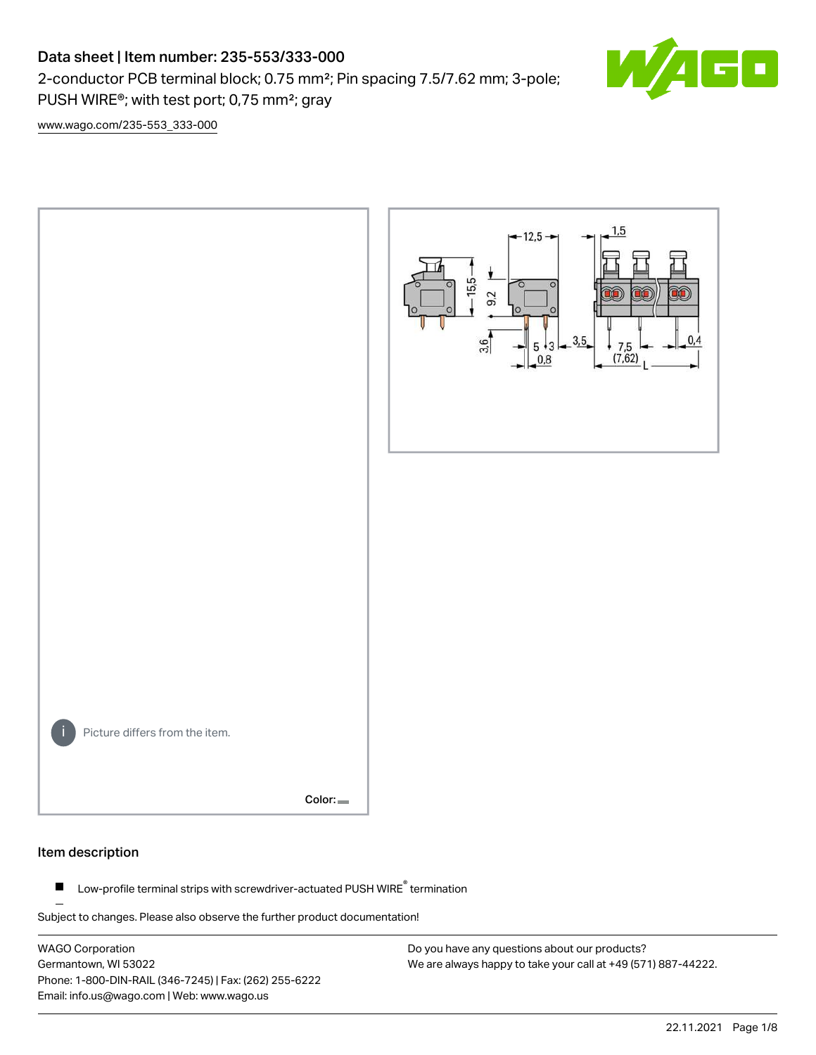# Data sheet | Item number: 235-553/333-000

2-conductor PCB terminal block; 0.75 mm²; Pin spacing 7.5/7.62 mm; 3-pole; PUSH WIRE®; with test port; 0,75 mm²; gray



[www.wago.com/235-553\\_333-000](http://www.wago.com/235-553_333-000)



#### Item description

Low-profile terminal strips with screwdriver-actuated PUSH WIRE® termination  $\blacksquare$ 

Subject to changes. Please also observe the further product documentation!

WAGO Corporation Germantown, WI 53022 Phone: 1-800-DIN-RAIL (346-7245) | Fax: (262) 255-6222 Email: info.us@wago.com | Web: www.wago.us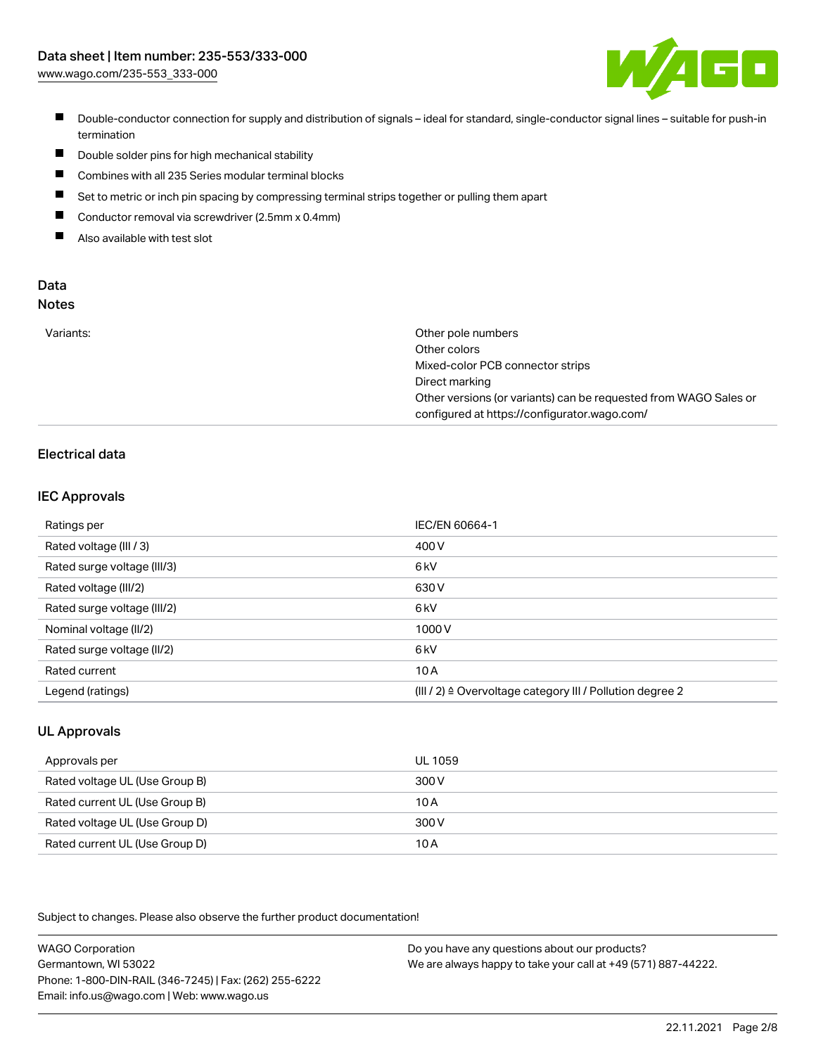

- Double-conductor connection for supply and distribution of signals ideal for standard, single-conductor signal lines suitable for push-in termination
- $\blacksquare$ Double solder pins for high mechanical stability
- $\blacksquare$ Combines with all 235 Series modular terminal blocks
- $\blacksquare$ Set to metric or inch pin spacing by compressing terminal strips together or pulling them apart
- $\blacksquare$ Conductor removal via screwdriver (2.5mm x 0.4mm)
- $\blacksquare$ Also available with test slot

#### Data Notes

| w<br>۰, | I<br>×<br>v<br>۹<br>٠ | ×<br>۰. |
|---------|-----------------------|---------|
|         |                       |         |

| Variants: | Other pole numbers                                               |
|-----------|------------------------------------------------------------------|
|           | Other colors                                                     |
|           | Mixed-color PCB connector strips                                 |
|           | Direct marking                                                   |
|           | Other versions (or variants) can be requested from WAGO Sales or |
|           | configured at https://configurator.wago.com/                     |

# Electrical data

# IEC Approvals

| Ratings per                 | IEC/EN 60664-1                                                       |
|-----------------------------|----------------------------------------------------------------------|
| Rated voltage (III / 3)     | 400 V                                                                |
| Rated surge voltage (III/3) | 6 <sub>k</sub> V                                                     |
| Rated voltage (III/2)       | 630 V                                                                |
| Rated surge voltage (III/2) | 6 <sub>kV</sub>                                                      |
| Nominal voltage (II/2)      | 1000V                                                                |
| Rated surge voltage (II/2)  | 6 <sub>k</sub> V                                                     |
| Rated current               | 10A                                                                  |
| Legend (ratings)            | (III / 2) $\triangleq$ Overvoltage category III / Pollution degree 2 |

# UL Approvals

| Approvals per                  | UL 1059 |
|--------------------------------|---------|
| Rated voltage UL (Use Group B) | 300 V   |
| Rated current UL (Use Group B) | 10 A    |
| Rated voltage UL (Use Group D) | 300 V   |
| Rated current UL (Use Group D) | 10 A    |

Subject to changes. Please also observe the further product documentation!

| <b>WAGO Corporation</b>                                | Do you have any questions about our products?                 |
|--------------------------------------------------------|---------------------------------------------------------------|
| Germantown, WI 53022                                   | We are always happy to take your call at +49 (571) 887-44222. |
| Phone: 1-800-DIN-RAIL (346-7245)   Fax: (262) 255-6222 |                                                               |
| Email: info.us@wago.com   Web: www.wago.us             |                                                               |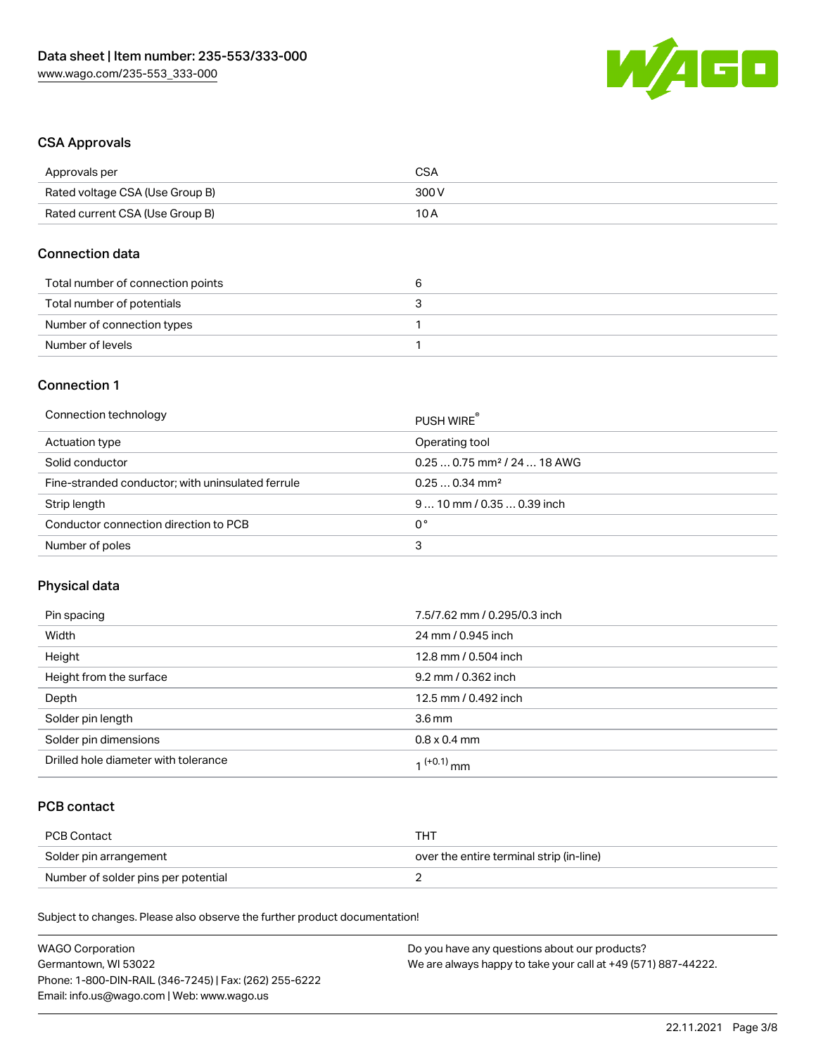

# CSA Approvals

| Approvals per                   | <b>CSA</b> |
|---------------------------------|------------|
| Rated voltage CSA (Use Group B) | 300 V      |
| Rated current CSA (Use Group B) | 10 A       |

## Connection data

| Total number of connection points |  |
|-----------------------------------|--|
| Total number of potentials        |  |
| Number of connection types        |  |
| Number of levels                  |  |

# Connection 1

| Connection technology                             | PUSH WIRE                               |
|---------------------------------------------------|-----------------------------------------|
| Actuation type                                    | Operating tool                          |
| Solid conductor                                   | $0.250.75$ mm <sup>2</sup> / 24  18 AWG |
| Fine-stranded conductor; with uninsulated ferrule | $0.250.34$ mm <sup>2</sup>              |
| Strip length                                      | $910$ mm / 0.35  0.39 inch              |
| Conductor connection direction to PCB             | 0°                                      |
| Number of poles                                   | 3                                       |

# Physical data

| Pin spacing                          | 7.5/7.62 mm / 0.295/0.3 inch |
|--------------------------------------|------------------------------|
| Width                                | 24 mm / 0.945 inch           |
| Height                               | 12.8 mm / 0.504 inch         |
| Height from the surface              | 9.2 mm / 0.362 inch          |
| Depth                                | 12.5 mm / 0.492 inch         |
| Solder pin length                    | 3.6 <sub>mm</sub>            |
| Solder pin dimensions                | $0.8 \times 0.4$ mm          |
| Drilled hole diameter with tolerance | 1 <sup>(+0.1)</sup> mm       |

# PCB contact

| PCB Contact                         | TH1.                                     |
|-------------------------------------|------------------------------------------|
| Solder pin arrangement              | over the entire terminal strip (in-line) |
| Number of solder pins per potential |                                          |

Subject to changes. Please also observe the further product documentation!

| <b>WAGO Corporation</b>                                | Do you have any questions about our products?                 |
|--------------------------------------------------------|---------------------------------------------------------------|
| Germantown, WI 53022                                   | We are always happy to take your call at +49 (571) 887-44222. |
| Phone: 1-800-DIN-RAIL (346-7245)   Fax: (262) 255-6222 |                                                               |
| Email: info.us@wago.com   Web: www.wago.us             |                                                               |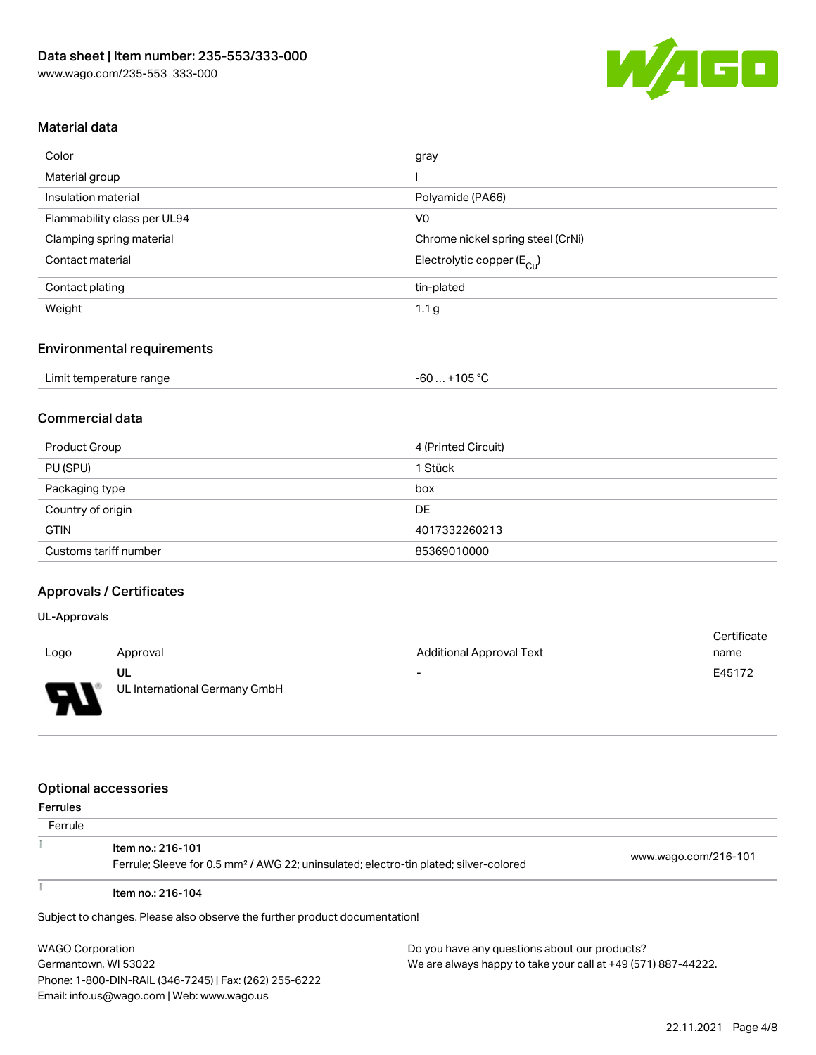

# Material data

| Color                       | gray                                    |
|-----------------------------|-----------------------------------------|
| Material group              |                                         |
| Insulation material         | Polyamide (PA66)                        |
| Flammability class per UL94 | V <sub>0</sub>                          |
| Clamping spring material    | Chrome nickel spring steel (CrNi)       |
| Contact material            | Electrolytic copper ( $E_{\text{Cu}}$ ) |
| Contact plating             | tin-plated                              |
| Weight                      | 1.1 <sub>g</sub>                        |

#### Environmental requirements

| Limit temperature range | $-60+105 °C$ |
|-------------------------|--------------|

# Commercial data

| Product Group         | 4 (Printed Circuit) |
|-----------------------|---------------------|
| PU (SPU)              | 1 Stück             |
| Packaging type        | box                 |
| Country of origin     | DE                  |
| <b>GTIN</b>           | 4017332260213       |
| Customs tariff number | 85369010000         |

# Approvals / Certificates

#### UL-Approvals

| Logo                   | Approval                            | Additional Approval Text | Certificate<br>name |
|------------------------|-------------------------------------|--------------------------|---------------------|
| s<br>◡<br>$\mathbf{r}$ | UL<br>UL International Germany GmbH | $\overline{\phantom{0}}$ | E45172              |

#### Optional accessories

Phone: 1-800-DIN-RAIL (346-7245) | Fax: (262) 255-6222

Email: info.us@wago.com | Web: www.wago.us

| <b>Ferrules</b>         |                                                                                                   |                                               |                                                               |  |
|-------------------------|---------------------------------------------------------------------------------------------------|-----------------------------------------------|---------------------------------------------------------------|--|
| Ferrule                 |                                                                                                   |                                               |                                                               |  |
|                         | Item no.: 216-101                                                                                 |                                               |                                                               |  |
|                         | Ferrule; Sleeve for 0.5 mm <sup>2</sup> / AWG 22; uninsulated; electro-tin plated; silver-colored |                                               | www.wago.com/216-101                                          |  |
|                         | Item no.: 216-104                                                                                 |                                               |                                                               |  |
|                         | Subject to changes. Please also observe the further product documentation!                        |                                               |                                                               |  |
| <b>WAGO Corporation</b> |                                                                                                   | Do you have any questions about our products? |                                                               |  |
| Germantown, WI 53022    |                                                                                                   |                                               | We are always happy to take your call at +49 (571) 887-44222. |  |

22.11.2021 Page 4/8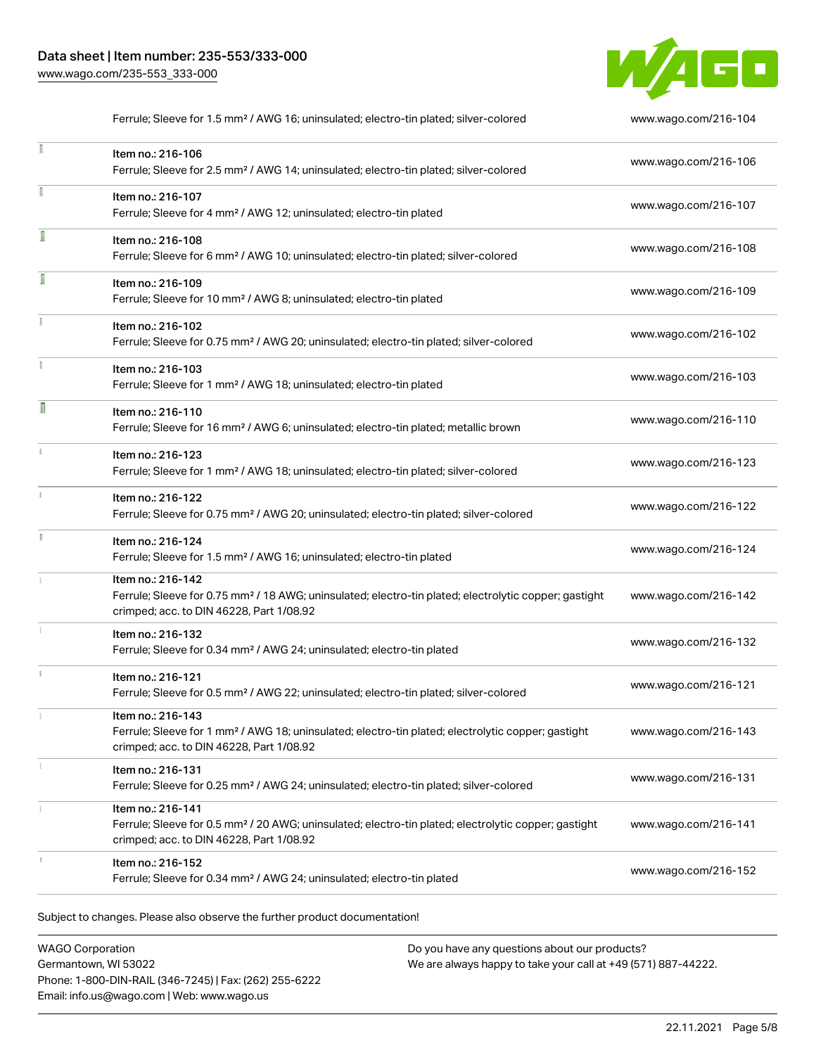

| Item no.: 216-106                                                                                                                                                                  |                      |
|------------------------------------------------------------------------------------------------------------------------------------------------------------------------------------|----------------------|
| Ferrule; Sleeve for 2.5 mm <sup>2</sup> / AWG 14; uninsulated; electro-tin plated; silver-colored                                                                                  | www.wago.com/216-106 |
| Item no.: 216-107<br>Ferrule; Sleeve for 4 mm <sup>2</sup> / AWG 12; uninsulated; electro-tin plated                                                                               | www.wago.com/216-107 |
| Item no.: 216-108<br>Ferrule; Sleeve for 6 mm <sup>2</sup> / AWG 10; uninsulated; electro-tin plated; silver-colored                                                               | www.wago.com/216-108 |
| Item no.: 216-109<br>Ferrule; Sleeve for 10 mm <sup>2</sup> / AWG 8; uninsulated; electro-tin plated                                                                               | www.wago.com/216-109 |
| Item no.: 216-102<br>Ferrule; Sleeve for 0.75 mm <sup>2</sup> / AWG 20; uninsulated; electro-tin plated; silver-colored                                                            | www.wago.com/216-102 |
| Item no.: 216-103<br>Ferrule; Sleeve for 1 mm <sup>2</sup> / AWG 18; uninsulated; electro-tin plated                                                                               | www.wago.com/216-103 |
| Item no.: 216-110<br>Ferrule; Sleeve for 16 mm <sup>2</sup> / AWG 6; uninsulated; electro-tin plated; metallic brown                                                               | www.wago.com/216-110 |
| Item no.: 216-123<br>Ferrule; Sleeve for 1 mm <sup>2</sup> / AWG 18; uninsulated; electro-tin plated; silver-colored                                                               | www.wago.com/216-123 |
| Item no.: 216-122<br>Ferrule; Sleeve for 0.75 mm <sup>2</sup> / AWG 20; uninsulated; electro-tin plated; silver-colored                                                            | www.wago.com/216-122 |
| Item no.: 216-124<br>Ferrule; Sleeve for 1.5 mm <sup>2</sup> / AWG 16; uninsulated; electro-tin plated                                                                             | www.wago.com/216-124 |
| Item no.: 216-142<br>Ferrule; Sleeve for 0.75 mm <sup>2</sup> / 18 AWG; uninsulated; electro-tin plated; electrolytic copper; gastight<br>crimped; acc. to DIN 46228, Part 1/08.92 | www.wago.com/216-142 |
| Item no.: 216-132<br>Ferrule; Sleeve for 0.34 mm <sup>2</sup> / AWG 24; uninsulated; electro-tin plated                                                                            | www.wago.com/216-132 |
| Item no.: 216-121<br>Ferrule; Sleeve for 0.5 mm <sup>2</sup> / AWG 22; uninsulated; electro-tin plated; silver-colored                                                             | www.wago.com/216-121 |
| Item no.: 216-143<br>Ferrule; Sleeve for 1 mm <sup>2</sup> / AWG 18; uninsulated; electro-tin plated; electrolytic copper; gastight<br>crimped; acc. to DIN 46228, Part 1/08.92    | www.wago.com/216-143 |
| Item no.: 216-131<br>Ferrule; Sleeve for 0.25 mm <sup>2</sup> / AWG 24; uninsulated; electro-tin plated; silver-colored                                                            | www.wago.com/216-131 |
| Item no.: 216-141<br>Ferrule; Sleeve for 0.5 mm <sup>2</sup> / 20 AWG; uninsulated; electro-tin plated; electrolytic copper; gastight<br>crimped; acc. to DIN 46228, Part 1/08.92  | www.wago.com/216-141 |
| Item no.: 216-152<br>Ferrule; Sleeve for 0.34 mm <sup>2</sup> / AWG 24; uninsulated; electro-tin plated                                                                            | www.wago.com/216-152 |
|                                                                                                                                                                                    |                      |

Subject to changes. Please also observe the further product documentation!

WAGO Corporation Germantown, WI 53022 Phone: 1-800-DIN-RAIL (346-7245) | Fax: (262) 255-6222 Email: info.us@wago.com | Web: www.wago.us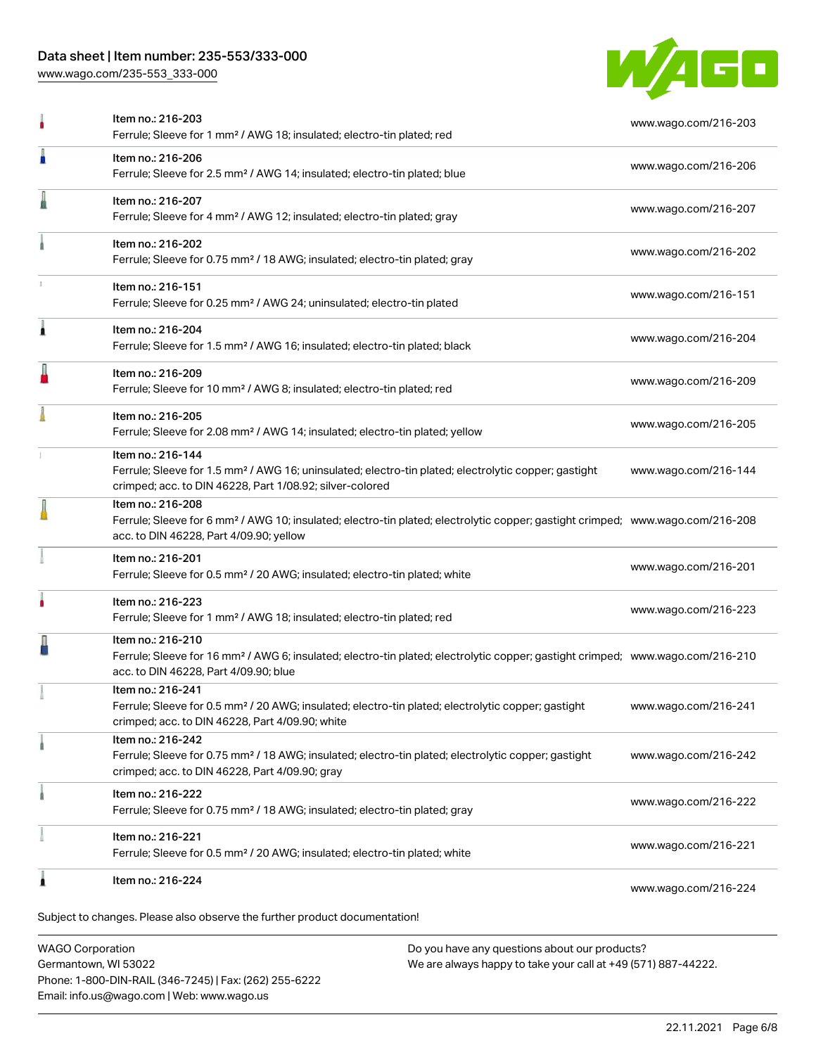# Data sheet | Item number: 235-553/333-000

[www.wago.com/235-553\\_333-000](http://www.wago.com/235-553_333-000)



| 1 | Item no.: 216-224                                                                                                                                                                                          | www.wago.com/216-224 |
|---|------------------------------------------------------------------------------------------------------------------------------------------------------------------------------------------------------------|----------------------|
|   | Item no.: 216-221<br>Ferrule; Sleeve for 0.5 mm <sup>2</sup> / 20 AWG; insulated; electro-tin plated; white                                                                                                | www.wago.com/216-221 |
|   | Item no.: 216-222<br>Ferrule; Sleeve for 0.75 mm <sup>2</sup> / 18 AWG; insulated; electro-tin plated; gray                                                                                                | www.wago.com/216-222 |
|   | Item no.: 216-242<br>Ferrule; Sleeve for 0.75 mm <sup>2</sup> / 18 AWG; insulated; electro-tin plated; electrolytic copper; gastight<br>crimped; acc. to DIN 46228, Part 4/09.90; gray                     | www.wago.com/216-242 |
|   | Item no.: 216-241<br>Ferrule; Sleeve for 0.5 mm <sup>2</sup> / 20 AWG; insulated; electro-tin plated; electrolytic copper; gastight<br>crimped; acc. to DIN 46228, Part 4/09.90; white                     | www.wago.com/216-241 |
|   | Item no.: 216-210<br>Ferrule; Sleeve for 16 mm <sup>2</sup> / AWG 6; insulated; electro-tin plated; electrolytic copper; gastight crimped; www.wago.com/216-210<br>acc. to DIN 46228, Part 4/09.90; blue   |                      |
|   | Item no.: 216-223<br>Ferrule; Sleeve for 1 mm <sup>2</sup> / AWG 18; insulated; electro-tin plated; red                                                                                                    | www.wago.com/216-223 |
|   | Item no.: 216-201<br>Ferrule; Sleeve for 0.5 mm <sup>2</sup> / 20 AWG; insulated; electro-tin plated; white                                                                                                | www.wago.com/216-201 |
|   | Item no.: 216-208<br>Ferrule; Sleeve for 6 mm <sup>2</sup> / AWG 10; insulated; electro-tin plated; electrolytic copper; gastight crimped; www.wago.com/216-208<br>acc. to DIN 46228, Part 4/09.90; yellow |                      |
|   | Item no.: 216-144<br>Ferrule; Sleeve for 1.5 mm <sup>2</sup> / AWG 16; uninsulated; electro-tin plated; electrolytic copper; gastight<br>crimped; acc. to DIN 46228, Part 1/08.92; silver-colored          | www.wago.com/216-144 |
|   | Item no.: 216-205<br>Ferrule; Sleeve for 2.08 mm <sup>2</sup> / AWG 14; insulated; electro-tin plated; yellow                                                                                              | www.wago.com/216-205 |
|   | Item no.: 216-209<br>Ferrule; Sleeve for 10 mm <sup>2</sup> / AWG 8; insulated; electro-tin plated; red                                                                                                    | www.wago.com/216-209 |
| 1 | Item no.: 216-204<br>Ferrule; Sleeve for 1.5 mm <sup>2</sup> / AWG 16; insulated; electro-tin plated; black                                                                                                | www.wago.com/216-204 |
|   | Item no.: 216-151<br>Ferrule; Sleeve for 0.25 mm <sup>2</sup> / AWG 24; uninsulated; electro-tin plated                                                                                                    | www.wago.com/216-151 |
|   | Item no.: 216-202<br>Ferrule; Sleeve for 0.75 mm <sup>2</sup> / 18 AWG; insulated; electro-tin plated; gray                                                                                                | www.wago.com/216-202 |
|   | Item no.: 216-207<br>Ferrule; Sleeve for 4 mm <sup>2</sup> / AWG 12; insulated; electro-tin plated; gray                                                                                                   | www.wago.com/216-207 |
|   | Item no.: 216-206<br>Ferrule; Sleeve for 2.5 mm <sup>2</sup> / AWG 14; insulated; electro-tin plated; blue                                                                                                 | www.wago.com/216-206 |
|   | Item no.: 216-203<br>Ferrule; Sleeve for 1 mm <sup>2</sup> / AWG 18; insulated; electro-tin plated; red                                                                                                    | www.wago.com/216-203 |

WAGO Corporation Germantown, WI 53022 Phone: 1-800-DIN-RAIL (346-7245) | Fax: (262) 255-6222 Email: info.us@wago.com | Web: www.wago.us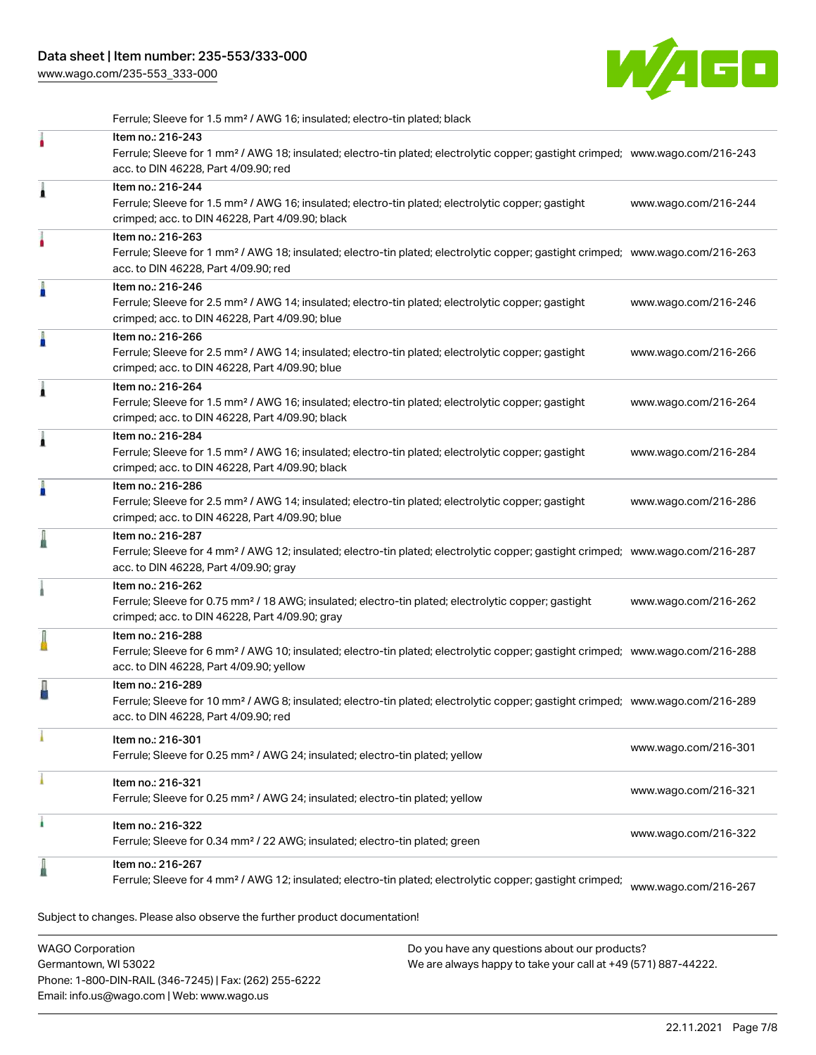[www.wago.com/235-553\\_333-000](http://www.wago.com/235-553_333-000)



Ferrule; Sleeve for 1.5 mm² / AWG 16; insulated; electro-tin plated; black

|   | Item no.: 216-243<br>Ferrule; Sleeve for 1 mm <sup>2</sup> / AWG 18; insulated; electro-tin plated; electrolytic copper; gastight crimped; www.wago.com/216-243<br>acc. to DIN 46228, Part 4/09.90; red    |                      |
|---|------------------------------------------------------------------------------------------------------------------------------------------------------------------------------------------------------------|----------------------|
| Â | Item no.: 216-244<br>Ferrule; Sleeve for 1.5 mm <sup>2</sup> / AWG 16; insulated; electro-tin plated; electrolytic copper; gastight<br>crimped; acc. to DIN 46228, Part 4/09.90; black                     | www.wago.com/216-244 |
|   | Item no.: 216-263<br>Ferrule; Sleeve for 1 mm <sup>2</sup> / AWG 18; insulated; electro-tin plated; electrolytic copper; gastight crimped; www.wago.com/216-263<br>acc. to DIN 46228, Part 4/09.90; red    |                      |
|   | Item no.: 216-246<br>Ferrule; Sleeve for 2.5 mm <sup>2</sup> / AWG 14; insulated; electro-tin plated; electrolytic copper; gastight<br>crimped; acc. to DIN 46228, Part 4/09.90; blue                      | www.wago.com/216-246 |
|   | Item no.: 216-266<br>Ferrule; Sleeve for 2.5 mm <sup>2</sup> / AWG 14; insulated; electro-tin plated; electrolytic copper; gastight<br>crimped; acc. to DIN 46228, Part 4/09.90; blue                      | www.wago.com/216-266 |
| 1 | Item no.: 216-264<br>Ferrule; Sleeve for 1.5 mm <sup>2</sup> / AWG 16; insulated; electro-tin plated; electrolytic copper; gastight<br>crimped; acc. to DIN 46228, Part 4/09.90; black                     | www.wago.com/216-264 |
| ۸ | Item no.: 216-284<br>Ferrule; Sleeve for 1.5 mm <sup>2</sup> / AWG 16; insulated; electro-tin plated; electrolytic copper; gastight<br>crimped; acc. to DIN 46228, Part 4/09.90; black                     | www.wago.com/216-284 |
| A | Item no.: 216-286<br>Ferrule; Sleeve for 2.5 mm <sup>2</sup> / AWG 14; insulated; electro-tin plated; electrolytic copper; gastight<br>crimped; acc. to DIN 46228, Part 4/09.90; blue                      | www.wago.com/216-286 |
|   | Item no.: 216-287<br>Ferrule; Sleeve for 4 mm <sup>2</sup> / AWG 12; insulated; electro-tin plated; electrolytic copper; gastight crimped; www.wago.com/216-287<br>acc. to DIN 46228, Part 4/09.90; gray   |                      |
|   | Item no.: 216-262<br>Ferrule; Sleeve for 0.75 mm <sup>2</sup> / 18 AWG; insulated; electro-tin plated; electrolytic copper; gastight<br>crimped; acc. to DIN 46228, Part 4/09.90; gray                     | www.wago.com/216-262 |
|   | Item no.: 216-288<br>Ferrule; Sleeve for 6 mm <sup>2</sup> / AWG 10; insulated; electro-tin plated; electrolytic copper; gastight crimped; www.wago.com/216-288<br>acc. to DIN 46228, Part 4/09.90; yellow |                      |
|   | Item no.: 216-289<br>Ferrule; Sleeve for 10 mm <sup>2</sup> / AWG 8; insulated; electro-tin plated; electrolytic copper; gastight crimped; www.wago.com/216-289<br>acc. to DIN 46228, Part 4/09.90; red    |                      |
|   | Item no.: 216-301<br>Ferrule; Sleeve for 0.25 mm <sup>2</sup> / AWG 24; insulated; electro-tin plated; yellow                                                                                              | www.wago.com/216-301 |
|   | Item no.: 216-321<br>Ferrule; Sleeve for 0.25 mm <sup>2</sup> / AWG 24; insulated; electro-tin plated; yellow                                                                                              | www.wago.com/216-321 |
| ì | Item no.: 216-322<br>Ferrule; Sleeve for 0.34 mm <sup>2</sup> / 22 AWG; insulated; electro-tin plated; green                                                                                               | www.wago.com/216-322 |
|   | Item no.: 216-267<br>Ferrule; Sleeve for 4 mm <sup>2</sup> / AWG 12; insulated; electro-tin plated; electrolytic copper; gastight crimped;                                                                 | www.wago.com/216-267 |
|   | Subject to changes. Please also observe the further product documentation!                                                                                                                                 |                      |

WAGO Corporation Germantown, WI 53022 Phone: 1-800-DIN-RAIL (346-7245) | Fax: (262) 255-6222 Email: info.us@wago.com | Web: www.wago.us